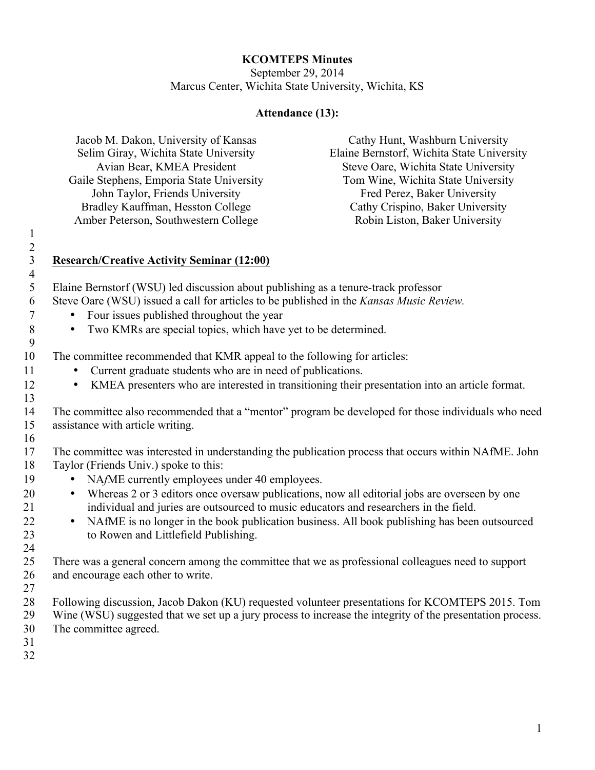## **KCOMTEPS Minutes**

September 29, 2014 Marcus Center, Wichita State University, Wichita, KS

## **Attendance (13):**

| Jacob M. Dakon, University of Kansas     | Cathy Hunt, Washburn University            |
|------------------------------------------|--------------------------------------------|
| Selim Giray, Wichita State University    | Elaine Bernstorf, Wichita State University |
| Avian Bear, KMEA President               | Steve Oare, Wichita State University       |
| Gaile Stephens, Emporia State University | Tom Wine, Wichita State University         |
| John Taylor, Friends University          | Fred Perez, Baker University               |
| Bradley Kauffman, Hesston College        | Cathy Crispino, Baker University           |
| Amber Peterson, Southwestern College     | Robin Liston, Baker University             |
|                                          |                                            |

1 2 3 **Research/Creative Activity Seminar (12:00)** 4 9

- 5 Elaine Bernstorf (WSU) led discussion about publishing as a tenure-track professor 6 Steve Oare (WSU) issued a call for articles to be published in the *Kansas Music Review.* 
	-
	- <sup>7</sup> Four issues published throughout the year<br><sup>8</sup> Two KMRs are special topics, which have • Two KMRs are special topics, which have yet to be determined.
- 10 The committee recommended that KMR appeal to the following for articles:
- 11 Current graduate students who are in need of publications.
- 12 KMEA presenters who are interested in transitioning their presentation into an article format.
- 14 The committee also recommended that a "mentor" program be developed for those individuals who need 15 assistance with article writing.
- 16

13

17 The committee was interested in understanding the publication process that occurs within NAfME. John 18 Taylor (Friends Univ.) spoke to this:

- 19 NA*f*ME currently employees under 40 employees.
- 20 Whereas 2 or 3 editors once oversaw publications, now all editorial jobs are overseen by one 21 individual and juries are outsourced to music educators and researchers in the field.
- <sup>22</sup> NAfME is no longer in the book publication business. All book publishing has been outsourced to Rowen and Littlefield Publishing. to Rowen and Littlefield Publishing.
- 25 There was a general concern among the committee that we as professional colleagues need to support 26 and encourage each other to write.
- 27

24

- 28 Following discussion, Jacob Dakon (KU) requested volunteer presentations for KCOMTEPS 2015. Tom 29 Wine (WSU) suggested that we set up a jury process to increase the integrity of the presentation process.
- 30 The committee agreed.
- 31 32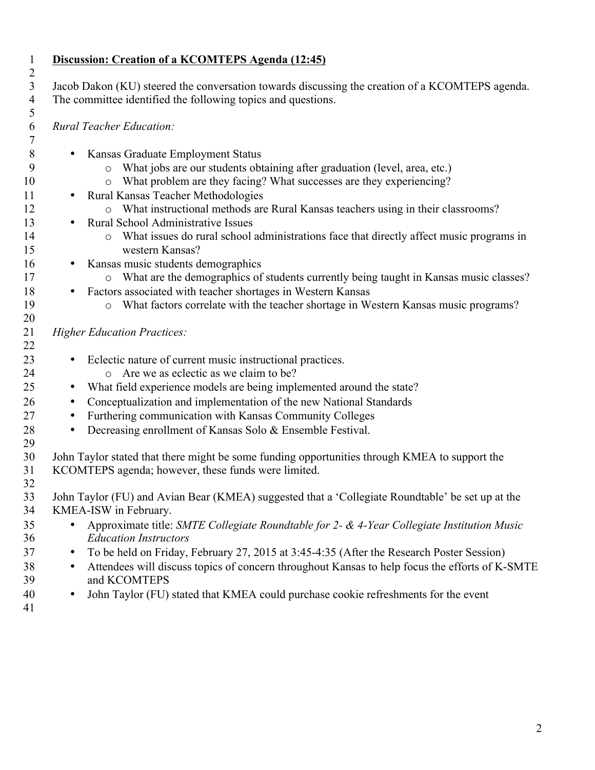## **Discussion: Creation of a KCOMTEPS Agenda (12:45)** Jacob Dakon (KU) steered the conversation towards discussing the creation of a KCOMTEPS agenda. The committee identified the following topics and questions. *Rural Teacher Education:*  • Kansas Graduate Employment Status o What jobs are our students obtaining after graduation (level, area, etc.) 10 b What problem are they facing? What successes are they experiencing? 11 • Rural Kansas Teacher Methodologies<br>12 <sup>o</sup> What instructional methods are o What instructional methods are Rural Kansas teachers using in their classrooms? • Rural School Administrative Issues o What issues do rural school administrations face that directly affect music programs in western Kansas? • Kansas music students demographics 17 o What are the demographics of students currently being taught in Kansas music classes? • Factors associated with teacher shortages in Western Kansas o What factors correlate with the teacher shortage in Western Kansas music programs? *Higher Education Practices:*  • Eclectic nature of current music instructional practices. o Are we as eclectic as we claim to be? 25 • What field experience models are being implemented around the state? • Conceptualization and implementation of the new National Standards • Furthering communication with Kansas Community Colleges • Decreasing enrollment of Kansas Solo & Ensemble Festival. John Taylor stated that there might be some funding opportunities through KMEA to support the

- KCOMTEPS agenda; however, these funds were limited.
- 

 John Taylor (FU) and Avian Bear (KMEA) suggested that a 'Collegiate Roundtable' be set up at the KMEA-ISW in February.

- Approximate title: *SMTE Collegiate Roundtable for 2- & 4-Year Collegiate Institution Music Education Instructors*
- To be held on Friday, February 27, 2015 at 3:45-4:35 (After the Research Poster Session)
- <sup>38</sup> Attendees will discuss topics of concern throughout Kansas to help focus the efforts of K-SMTE<br><sup>39</sup> and KCOMTEPS and KCOMTEPS
- John Taylor (FU) stated that KMEA could purchase cookie refreshments for the event
-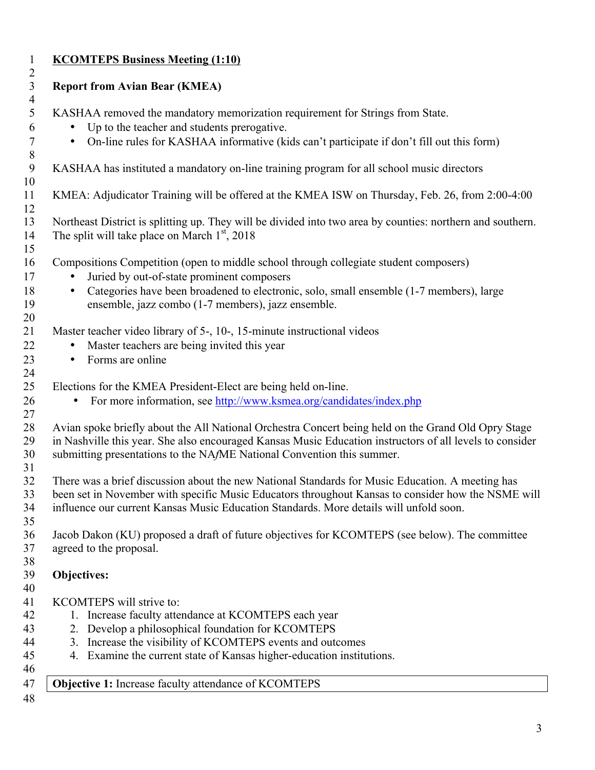| $\bullet$<br>$\bullet$<br>$\bullet$<br>$\bullet$<br>$\bullet$<br>Objectives: | KASHAA removed the mandatory memorization requirement for Strings from State.<br>Up to the teacher and students prerogative.<br>• On-line rules for KASHAA informative (kids can't participate if don't fill out this form)<br>KASHAA has instituted a mandatory on-line training program for all school music directors<br>KMEA: Adjudicator Training will be offered at the KMEA ISW on Thursday, Feb. 26, from 2:00-4:00<br>Northeast District is splitting up. They will be divided into two area by counties: northern and southern.<br>The split will take place on March $1st$ , 2018<br>Compositions Competition (open to middle school through collegiate student composers)<br>Juried by out-of-state prominent composers<br>Categories have been broadened to electronic, solo, small ensemble (1-7 members), large<br>ensemble, jazz combo (1-7 members), jazz ensemble.<br>Master teacher video library of 5-, 10-, 15-minute instructional videos<br>Master teachers are being invited this year<br>Forms are online<br>Elections for the KMEA President-Elect are being held on-line. |
|------------------------------------------------------------------------------|------------------------------------------------------------------------------------------------------------------------------------------------------------------------------------------------------------------------------------------------------------------------------------------------------------------------------------------------------------------------------------------------------------------------------------------------------------------------------------------------------------------------------------------------------------------------------------------------------------------------------------------------------------------------------------------------------------------------------------------------------------------------------------------------------------------------------------------------------------------------------------------------------------------------------------------------------------------------------------------------------------------------------------------------------------------------------------------------------|
|                                                                              |                                                                                                                                                                                                                                                                                                                                                                                                                                                                                                                                                                                                                                                                                                                                                                                                                                                                                                                                                                                                                                                                                                      |
|                                                                              |                                                                                                                                                                                                                                                                                                                                                                                                                                                                                                                                                                                                                                                                                                                                                                                                                                                                                                                                                                                                                                                                                                      |
|                                                                              |                                                                                                                                                                                                                                                                                                                                                                                                                                                                                                                                                                                                                                                                                                                                                                                                                                                                                                                                                                                                                                                                                                      |
|                                                                              |                                                                                                                                                                                                                                                                                                                                                                                                                                                                                                                                                                                                                                                                                                                                                                                                                                                                                                                                                                                                                                                                                                      |
|                                                                              |                                                                                                                                                                                                                                                                                                                                                                                                                                                                                                                                                                                                                                                                                                                                                                                                                                                                                                                                                                                                                                                                                                      |
|                                                                              |                                                                                                                                                                                                                                                                                                                                                                                                                                                                                                                                                                                                                                                                                                                                                                                                                                                                                                                                                                                                                                                                                                      |
|                                                                              |                                                                                                                                                                                                                                                                                                                                                                                                                                                                                                                                                                                                                                                                                                                                                                                                                                                                                                                                                                                                                                                                                                      |
|                                                                              |                                                                                                                                                                                                                                                                                                                                                                                                                                                                                                                                                                                                                                                                                                                                                                                                                                                                                                                                                                                                                                                                                                      |
|                                                                              |                                                                                                                                                                                                                                                                                                                                                                                                                                                                                                                                                                                                                                                                                                                                                                                                                                                                                                                                                                                                                                                                                                      |
|                                                                              |                                                                                                                                                                                                                                                                                                                                                                                                                                                                                                                                                                                                                                                                                                                                                                                                                                                                                                                                                                                                                                                                                                      |
|                                                                              |                                                                                                                                                                                                                                                                                                                                                                                                                                                                                                                                                                                                                                                                                                                                                                                                                                                                                                                                                                                                                                                                                                      |
|                                                                              |                                                                                                                                                                                                                                                                                                                                                                                                                                                                                                                                                                                                                                                                                                                                                                                                                                                                                                                                                                                                                                                                                                      |
|                                                                              |                                                                                                                                                                                                                                                                                                                                                                                                                                                                                                                                                                                                                                                                                                                                                                                                                                                                                                                                                                                                                                                                                                      |
|                                                                              |                                                                                                                                                                                                                                                                                                                                                                                                                                                                                                                                                                                                                                                                                                                                                                                                                                                                                                                                                                                                                                                                                                      |
|                                                                              |                                                                                                                                                                                                                                                                                                                                                                                                                                                                                                                                                                                                                                                                                                                                                                                                                                                                                                                                                                                                                                                                                                      |
|                                                                              | For more information, see http://www.ksmea.org/candidates/index.php                                                                                                                                                                                                                                                                                                                                                                                                                                                                                                                                                                                                                                                                                                                                                                                                                                                                                                                                                                                                                                  |
|                                                                              |                                                                                                                                                                                                                                                                                                                                                                                                                                                                                                                                                                                                                                                                                                                                                                                                                                                                                                                                                                                                                                                                                                      |
|                                                                              | Avian spoke briefly about the All National Orchestra Concert being held on the Grand Old Opry Stage                                                                                                                                                                                                                                                                                                                                                                                                                                                                                                                                                                                                                                                                                                                                                                                                                                                                                                                                                                                                  |
|                                                                              | in Nashville this year. She also encouraged Kansas Music Education instructors of all levels to consider                                                                                                                                                                                                                                                                                                                                                                                                                                                                                                                                                                                                                                                                                                                                                                                                                                                                                                                                                                                             |
|                                                                              | submitting presentations to the NAfME National Convention this summer.                                                                                                                                                                                                                                                                                                                                                                                                                                                                                                                                                                                                                                                                                                                                                                                                                                                                                                                                                                                                                               |
|                                                                              | There was a brief discussion about the new National Standards for Music Education. A meeting has                                                                                                                                                                                                                                                                                                                                                                                                                                                                                                                                                                                                                                                                                                                                                                                                                                                                                                                                                                                                     |
|                                                                              | been set in November with specific Music Educators throughout Kansas to consider how the NSME will                                                                                                                                                                                                                                                                                                                                                                                                                                                                                                                                                                                                                                                                                                                                                                                                                                                                                                                                                                                                   |
|                                                                              | influence our current Kansas Music Education Standards. More details will unfold soon.                                                                                                                                                                                                                                                                                                                                                                                                                                                                                                                                                                                                                                                                                                                                                                                                                                                                                                                                                                                                               |
|                                                                              |                                                                                                                                                                                                                                                                                                                                                                                                                                                                                                                                                                                                                                                                                                                                                                                                                                                                                                                                                                                                                                                                                                      |
|                                                                              | Jacob Dakon (KU) proposed a draft of future objectives for KCOMTEPS (see below). The committee                                                                                                                                                                                                                                                                                                                                                                                                                                                                                                                                                                                                                                                                                                                                                                                                                                                                                                                                                                                                       |
|                                                                              | agreed to the proposal.                                                                                                                                                                                                                                                                                                                                                                                                                                                                                                                                                                                                                                                                                                                                                                                                                                                                                                                                                                                                                                                                              |
|                                                                              |                                                                                                                                                                                                                                                                                                                                                                                                                                                                                                                                                                                                                                                                                                                                                                                                                                                                                                                                                                                                                                                                                                      |
|                                                                              |                                                                                                                                                                                                                                                                                                                                                                                                                                                                                                                                                                                                                                                                                                                                                                                                                                                                                                                                                                                                                                                                                                      |
|                                                                              |                                                                                                                                                                                                                                                                                                                                                                                                                                                                                                                                                                                                                                                                                                                                                                                                                                                                                                                                                                                                                                                                                                      |
|                                                                              | KCOMTEPS will strive to:                                                                                                                                                                                                                                                                                                                                                                                                                                                                                                                                                                                                                                                                                                                                                                                                                                                                                                                                                                                                                                                                             |
|                                                                              | 1. Increase faculty attendance at KCOMTEPS each year<br>2. Develop a philosophical foundation for KCOMTEPS                                                                                                                                                                                                                                                                                                                                                                                                                                                                                                                                                                                                                                                                                                                                                                                                                                                                                                                                                                                           |
|                                                                              |                                                                                                                                                                                                                                                                                                                                                                                                                                                                                                                                                                                                                                                                                                                                                                                                                                                                                                                                                                                                                                                                                                      |
|                                                                              |                                                                                                                                                                                                                                                                                                                                                                                                                                                                                                                                                                                                                                                                                                                                                                                                                                                                                                                                                                                                                                                                                                      |
|                                                                              | 3. Increase the visibility of KCOMTEPS events and outcomes                                                                                                                                                                                                                                                                                                                                                                                                                                                                                                                                                                                                                                                                                                                                                                                                                                                                                                                                                                                                                                           |
| Objective 1: Increase faculty attendance of KCOMTEPS                         | 4. Examine the current state of Kansas higher-education institutions.                                                                                                                                                                                                                                                                                                                                                                                                                                                                                                                                                                                                                                                                                                                                                                                                                                                                                                                                                                                                                                |